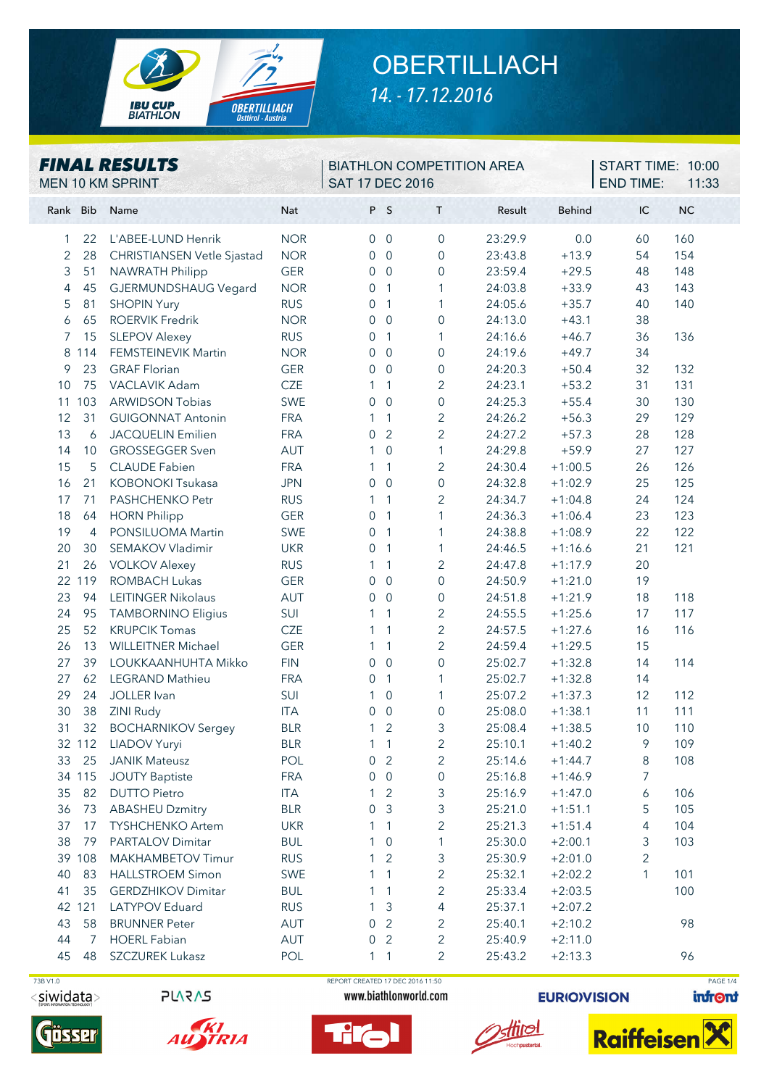

## **OBERTILLIACH** *14. - 17.12.2016*

| <b>FINAL RESULTS</b><br><b>MEN 10 KM SPRINT</b>    | <b>SAT 17 DEC 2016</b> |                  | <b>BIATHLON COMPETITION AREA</b> |                     | START TIME: 10:00<br><b>END TIME:</b><br>11:33 |               |                 |           |
|----------------------------------------------------|------------------------|------------------|----------------------------------|---------------------|------------------------------------------------|---------------|-----------------|-----------|
| Rank Bib<br><b>Name</b>                            | Nat                    | P S              |                                  | $\mathsf T$         | Result                                         | <b>Behind</b> | IC              | <b>NC</b> |
| L'ABEE-LUND Henrik<br>22<br>1                      | <b>NOR</b>             | $0\quad 0$       |                                  | $\overline{0}$      | 23:29.9                                        | 0.0           | 60              | 160       |
| $\overline{2}$<br>CHRISTIANSEN Vetle Sjastad<br>28 | <b>NOR</b>             | 0                | $\overline{0}$                   | 0                   | 23:43.8                                        | $+13.9$       | 54              | 154       |
| 3<br>51<br><b>NAWRATH Philipp</b>                  | <b>GER</b>             | 0                | $\overline{0}$                   | $\mathbf 0$         | 23:59.4                                        | $+29.5$       | 48              | 148       |
| <b>GJERMUNDSHAUG Vegard</b><br>45<br>4             | <b>NOR</b>             | 0                | $\mathbf{1}$                     | 1                   | 24:03.8                                        | $+33.9$       | 43              | 143       |
| 5<br>81<br><b>SHOPIN Yury</b>                      | <b>RUS</b>             | 0                | $\overline{1}$                   | 1                   | 24:05.6                                        | $+35.7$       | 40              | 140       |
| <b>ROERVIK Fredrik</b><br>6<br>65                  | <b>NOR</b>             | $\overline{0}$   | $\mathbf 0$                      | 0                   | 24:13.0                                        | $+43.1$       | 38              |           |
| <b>SLEPOV Alexey</b><br>7<br>15                    | <b>RUS</b>             | 0                | $\mathbf{1}$                     | 1                   | 24:16.6                                        | $+46.7$       | 36              | 136       |
| FEMSTEINEVIK Martin<br>8<br>114                    | <b>NOR</b>             | 0                | $\overline{0}$                   | $\overline{0}$      | 24:19.6                                        | $+49.7$       | 34              |           |
| 23<br><b>GRAF Florian</b><br>9                     | <b>GER</b>             | 0                | $\overline{0}$                   | $\overline{0}$      | 24:20.3                                        | $+50.4$       | 32              | 132       |
| 75<br>VACLAVIK Adam<br>10                          | <b>CZE</b>             | 1                | 1                                | $\overline{2}$      | 24:23.1                                        | $+53.2$       | 31              | 131       |
| 103<br><b>ARWIDSON Tobias</b><br>11                | <b>SWE</b>             | 0                | $\overline{0}$                   | $\mathsf{O}\xspace$ | 24:25.3                                        | $+55.4$       | 30              | 130       |
| 31<br><b>GUIGONNAT Antonin</b><br>12               | <b>FRA</b>             | $\mathbf{1}$     | $\mathbf{1}$                     | $\overline{c}$      | 24:26.2                                        | $+56.3$       | 29              | 129       |
| 13<br><b>JACQUELIN Emilien</b><br>6                | <b>FRA</b>             | 0                | $\overline{2}$                   | $\overline{2}$      | 24:27.2                                        | $+57.3$       | 28              | 128       |
| <b>GROSSEGGER Sven</b><br>14<br>10                 | AUT                    | $\mathbf{1}$     | $\mathbf 0$                      | 1                   | 24:29.8                                        | $+59.9$       | 27              | 127       |
| 15<br><b>CLAUDE Fabien</b><br>5                    | <b>FRA</b>             | $\mathbf{1}$     | $\mathbf{1}$                     | $\overline{2}$      | 24:30.4                                        | $+1:00.5$     | 26              | 126       |
| 21<br><b>KOBONOKI Tsukasa</b><br>16                | <b>JPN</b>             | 0                | $\overline{0}$                   | $\mathsf{O}\xspace$ | 24:32.8                                        | $+1:02.9$     | 25              | 125       |
| 71<br>17<br>PASHCHENKO Petr                        | <b>RUS</b>             | $\overline{1}$   | $\mathbf{1}$                     | $\overline{2}$      | 24:34.7                                        | $+1:04.8$     | 24              | 124       |
| 18<br><b>HORN Philipp</b><br>64                    | <b>GER</b>             | 0                | $\overline{1}$                   | 1                   | 24:36.3                                        | $+1:06.4$     | 23              | 123       |
| 19<br><b>PONSILUOMA Martin</b><br>4                | <b>SWE</b>             | $\overline{0}$   | $\overline{1}$                   | 1                   | 24:38.8                                        | $+1:08.9$     | 22              | 122       |
| 20<br>30<br>SEMAKOV Vladimir                       | <b>UKR</b>             | $\overline{0}$   | $\overline{1}$                   | 1                   | 24:46.5                                        | $+1:16.6$     | 21              | 121       |
| 21<br><b>VOLKOV Alexey</b><br>26                   | <b>RUS</b>             | $\mathbf{1}$     | $\mathbf{1}$                     | $\overline{2}$      | 24:47.8                                        | $+1:17.9$     | 20              |           |
| 22 119<br><b>ROMBACH Lukas</b>                     | <b>GER</b>             | 0                | $\mathbf 0$                      | $\mathbf 0$         | 24:50.9                                        | $+1:21.0$     | 19              |           |
| 23<br><b>LEITINGER Nikolaus</b><br>94              | AUT                    | 0                | $\overline{0}$                   | $\mathbf 0$         | 24:51.8                                        | $+1:21.9$     | 18              | 118       |
| 24<br><b>TAMBORNINO Eligius</b><br>95              | SUI                    | 1                | $\mathbf{1}$                     | $\overline{2}$      | 24:55.5                                        | $+1:25.6$     | 17              | 117       |
| 52<br>25<br><b>KRUPCIK Tomas</b>                   | <b>CZE</b>             | 1                | 1                                | $\overline{2}$      | 24:57.5                                        | $+1:27.6$     | 16              | 116       |
| <b>WILLEITNER Michael</b><br>26<br>13              | <b>GER</b>             | 1                | $\mathbf{1}$                     | $\overline{2}$      | 24:59.4                                        | $+1:29.5$     | 15              |           |
| 27<br>39<br>LOUKKAANHUHTA Mikko                    | <b>FIN</b>             | 0                | $\overline{0}$                   | $\mathsf{O}\xspace$ | 25:02.7                                        | $+1:32.8$     | 14              | 114       |
| 27<br><b>LEGRAND Mathieu</b><br>62                 | <b>FRA</b>             | 0                | $\mathbf{1}$                     | 1                   | 25:02.7                                        | $+1:32.8$     | 14              |           |
| 29<br>24<br>JOLLER Ivan                            | SUI                    | 1                | $\overline{0}$                   | 1                   | 25:07.2                                        | $+1:37.3$     | 12              | 112       |
| 30<br>38<br><b>ZINI Rudy</b>                       | <b>ITA</b>             | 0                | $\mathbf 0$                      | $\mathbf 0$         | 25:08.0                                        | $+1:38.1$     | 11              | 111       |
| 31<br>32 BOCHARNIKOV Sergey                        | BLR                    | $\mathbf{1}$     | $\overline{c}$                   | 3                   | 25:08.4                                        | $+1:38.5$     | 10 <sup>°</sup> | 110       |
| 32 112 LIADOV Yuryi                                | <b>BLR</b>             | $1\quad1$        |                                  | 2                   | 25:10.1                                        | $+1:40.2$     | 9               | 109       |
| 33<br>25<br><b>JANIK Mateusz</b>                   | POL                    | $\boldsymbol{0}$ | $\overline{2}$                   | $\overline{2}$      | 25:14.6                                        | $+1:44.7$     | 8               | 108       |
| 34 115<br><b>JOUTY Baptiste</b>                    | <b>FRA</b>             | $0\quad 0$       |                                  | $\mathsf{O}\xspace$ | 25:16.8                                        | $+1:46.9$     | $\overline{7}$  |           |
| 35<br>82<br><b>DUTTO Pietro</b>                    | <b>ITA</b>             | 1                | $\overline{2}$                   | 3                   | 25:16.9                                        | $+1:47.0$     | 6               | 106       |
| 36<br>73<br><b>ABASHEU Dzmitry</b>                 | <b>BLR</b>             | 0                | $\mathfrak{Z}$                   | 3                   | 25:21.0                                        | $+1:51.1$     | 5               | 105       |
| 37<br><b>TYSHCHENKO Artem</b><br>17                | <b>UKR</b>             | 1                | $\mathbf{1}$                     | $\overline{2}$      | 25:21.3                                        | $+1:51.4$     | 4               | 104       |
| 38<br>79<br>PARTALOV Dimitar                       | <b>BUL</b>             |                  | $\mathsf{O}\xspace$              | 1                   | 25:30.0                                        | $+2:00.1$     | 3               | 103       |
| 39 108<br>MAKHAMBETOV Timur                        | <b>RUS</b>             |                  | $\overline{2}$                   | 3                   | 25:30.9                                        | $+2:01.0$     | $\overline{2}$  |           |
| 40<br>83<br><b>HALLSTROEM Simon</b>                | <b>SWE</b>             | 1                | 1                                | $\overline{c}$      | 25:32.1                                        | $+2:02.2$     | $\mathbf{1}$    | 101       |
| <b>GERDZHIKOV Dimitar</b><br>41<br>35              | <b>BUL</b>             | 1                | $\mathbf{1}$                     | $\overline{2}$      | 25:33.4                                        | $+2:03.5$     |                 | 100       |
| 42 121<br>LATYPOV Eduard                           | <b>RUS</b>             | 1                | 3                                | 4                   | 25:37.1                                        | $+2:07.2$     |                 |           |
| 43<br>58<br><b>BRUNNER Peter</b>                   | AUT                    | 0                | $\overline{2}$                   | $\overline{c}$      | 25:40.1                                        | $+2:10.2$     |                 | 98        |
| <b>HOERL Fabian</b><br>44<br>7                     | AUT                    | 0 <sub>2</sub>   |                                  | $\overline{c}$      | 25:40.9                                        | $+2:11.0$     |                 |           |
| 48 SZCZUREK Lukasz<br>45                           | POL                    |                  |                                  | $\overline{2}$      | 25:43.2                                        | $+2:13.3$     |                 | 96        |



**PLARAS** 











**EURIOVISION** 



infront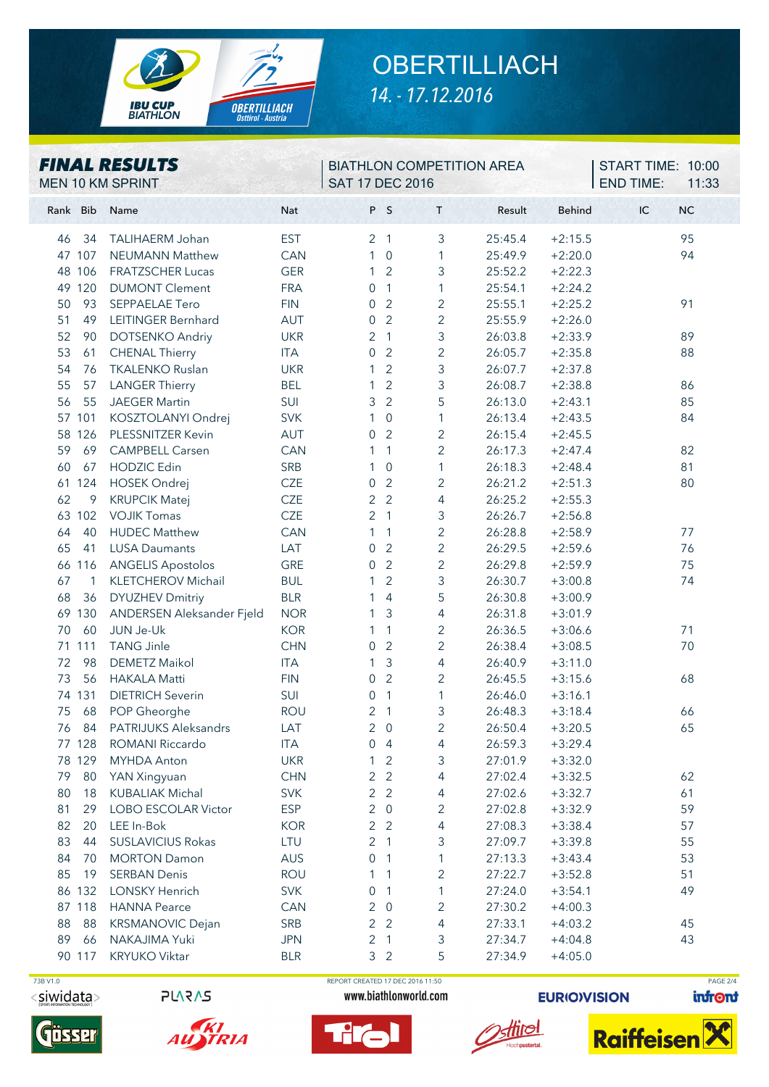

## **OBERTILLIACH** *14. - 17.12.2016*

| <b>FINAL RESULTS</b><br><b>MEN 10 KM SPRINT</b> |              |                            | <b>SAT 17 DEC 2016</b> |                | <b>BIATHLON COMPETITION AREA</b> |                | START TIME: 10:00<br><b>END TIME:</b><br>11:33 |           |          |
|-------------------------------------------------|--------------|----------------------------|------------------------|----------------|----------------------------------|----------------|------------------------------------------------|-----------|----------|
| Rank Bib                                        |              | Name                       | <b>Nat</b>             |                | P S                              | T.             | Result                                         | Behind    | IC<br>NC |
| 46                                              | 34           | TALIHAERM Johan            | <b>EST</b>             |                | 2 <sub>1</sub>                   | 3              | 25:45.4                                        | $+2:15.5$ | 95       |
| 47 107                                          |              | <b>NEUMANN Matthew</b>     | CAN                    | 1              | $\overline{0}$                   | 1              | 25:49.9                                        | $+2:20.0$ | 94       |
| 48                                              | 106          | <b>FRATZSCHER Lucas</b>    | <b>GER</b>             | 1              | $\overline{2}$                   | 3              | 25:52.2                                        | $+2:22.3$ |          |
| 49 120                                          |              | <b>DUMONT Clement</b>      | <b>FRA</b>             | 0              | $\mathbf{1}$                     | 1              | 25:54.1                                        | $+2:24.2$ |          |
| 50                                              | 93           | SEPPAELAE Tero             | <b>FIN</b>             | 0              | $\overline{2}$                   | $\overline{c}$ | 25:55.1                                        | $+2:25.2$ | 91       |
| 51                                              | 49           | LEITINGER Bernhard         | AUT                    | 0              | $\overline{2}$                   | $\overline{2}$ | 25:55.9                                        | $+2:26.0$ |          |
| 52                                              | 90           | DOTSENKO Andriy            | <b>UKR</b>             |                | 2 <sub>1</sub>                   | 3              | 26:03.8                                        | $+2:33.9$ | 89       |
| 53                                              | 61           | <b>CHENAL Thierry</b>      | <b>ITA</b>             | 0              | $\overline{2}$                   | $\overline{2}$ | 26:05.7                                        | $+2:35.8$ | 88       |
| 54                                              | 76           | <b>TKALENKO Ruslan</b>     | <b>UKR</b>             | 1              | $\overline{2}$                   | 3              | 26:07.7                                        | $+2:37.8$ |          |
| 55                                              | 57           | <b>LANGER Thierry</b>      | <b>BEL</b>             | 1              | $\overline{2}$                   | 3              | 26:08.7                                        | $+2:38.8$ | 86       |
| 56                                              | 55           | <b>JAEGER Martin</b>       | SUI                    | 3              | $\overline{2}$                   | 5              | 26:13.0                                        | $+2:43.1$ | 85       |
| 57                                              | 101          | KOSZTOLANYI Ondrej         | <b>SVK</b>             | 1              | $\mathsf{O}\xspace$              | 1              | 26:13.4                                        | $+2:43.5$ | 84       |
| 58                                              | 126          | PLESSNITZER Kevin          | AUT                    | 0              | $\overline{2}$                   | $\overline{c}$ | 26:15.4                                        | $+2:45.5$ |          |
| 59                                              | 69           | <b>CAMPBELL Carsen</b>     | CAN                    | 1              | $\overline{1}$                   | $\overline{2}$ | 26:17.3                                        | $+2:47.4$ | 82       |
| 60                                              | 67           | <b>HODZIC Edin</b>         | SRB                    | 1              | $\overline{0}$                   | 1              | 26:18.3                                        | $+2:48.4$ | 81       |
| 61                                              | 124          | <b>HOSEK Ondrej</b>        | CZE                    | 0              | $\overline{2}$                   | $\overline{c}$ | 26:21.2                                        | $+2:51.3$ | 80       |
| 62                                              | 9            | <b>KRUPCIK Matej</b>       | CZE                    | $\overline{2}$ | 2                                | 4              | 26:25.2                                        | $+2:55.3$ |          |
| 63 102                                          |              | <b>VOJIK Tomas</b>         | <b>CZE</b>             | 2 <sub>1</sub> |                                  | 3              | 26:26.7                                        | $+2:56.8$ |          |
| 64                                              | 40           | <b>HUDEC Matthew</b>       | CAN                    | $\mathbf{1}$   | $\overline{1}$                   | $\overline{2}$ | 26:28.8                                        | $+2:58.9$ | 77       |
| 65                                              | 41           | <b>LUSA Daumants</b>       | LAT                    | 0              | $\overline{2}$                   | $\overline{2}$ | 26:29.5                                        | $+2:59.6$ | 76       |
| 66                                              | 116          | <b>ANGELIS Apostolos</b>   | <b>GRE</b>             | 0              | $\overline{2}$                   | $\overline{2}$ | 26:29.8                                        | $+2:59.9$ | 75       |
| 67                                              | $\mathbf{1}$ | KLETCHEROV Michail         | <b>BUL</b>             | 1              | $\overline{2}$                   | 3              | 26:30.7                                        | $+3:00.8$ | 74       |
| 68                                              | 36           | <b>DYUZHEV Dmitriy</b>     | <b>BLR</b>             | 1              | $\overline{4}$                   | 5              | 26:30.8                                        | $+3:00.9$ |          |
| 69                                              | 130          | ANDERSEN Aleksander Fjeld  | <b>NOR</b>             | 1              | 3                                | 4              | 26:31.8                                        | $+3:01.9$ |          |
| 70                                              | 60           | JUN Je-Uk                  | <b>KOR</b>             | 1              | $\mathbf{1}$                     | $\overline{2}$ | 26:36.5                                        | $+3:06.6$ | 71       |
| 71                                              | 111          | <b>TANG Jinle</b>          | <b>CHN</b>             | 0              | $\overline{2}$                   | $\overline{2}$ | 26:38.4                                        | $+3:08.5$ | 70       |
| 72                                              | 98           | <b>DEMETZ Maikol</b>       | <b>ITA</b>             | 1              | $\mathfrak{Z}$                   | 4              | 26:40.9                                        | $+3:11.0$ |          |
| 73                                              | 56           | <b>HAKALA Matti</b>        | <b>FIN</b>             | 0              | $\overline{2}$                   | $\overline{c}$ | 26:45.5                                        | $+3:15.6$ | 68       |
| 74 131                                          |              | <b>DIETRICH Severin</b>    | SUI                    | 0              | $\overline{1}$                   | 1              | 26:46.0                                        | $+3:16.1$ |          |
| 75                                              | 68           | POP Gheorghe               | ROU                    | 2              | 1                                | 3              | 26:48.3                                        | $+3:18.4$ | 66       |
|                                                 |              | 76 84 PATRIJUKS Aleksandrs | LAT                    | 2              | $\Omega$                         | $\overline{2}$ | 26:50.4                                        | $+3:20.5$ | 65       |
| 77 128                                          |              | ROMANI Riccardo            | <b>ITA</b>             | 0              | $\overline{4}$                   | 4              | 26:59.3                                        | $+3:29.4$ |          |
| 78 129                                          |              | <b>MYHDA Anton</b>         | <b>UKR</b>             | 1              | $\overline{2}$                   | 3              | 27:01.9                                        | $+3:32.0$ |          |
| 79                                              | 80           | YAN Xingyuan               | <b>CHN</b>             | $\overline{2}$ | $\overline{2}$                   | 4              | 27:02.4                                        | $+3:32.5$ | 62       |
| 80                                              | 18           | <b>KUBALIAK Michal</b>     | <b>SVK</b>             |                | 2 <sub>2</sub>                   | 4              | 27:02.6                                        | $+3:32.7$ | 61       |
| 81                                              | 29           | LOBO ESCOLAR Victor        | <b>ESP</b>             |                | $2\quad 0$                       | 2              | 27:02.8                                        | $+3:32.9$ | 59       |
| 82                                              | 20           | LEE In-Bok                 | <b>KOR</b>             |                | 2 <sub>2</sub>                   | 4              | 27:08.3                                        | $+3:38.4$ | 57       |
| 83                                              | 44           | <b>SUSLAVICIUS Rokas</b>   | LTU                    |                | 2 <sub>1</sub>                   | 3              | 27:09.7                                        | $+3:39.8$ | 55       |
| 84                                              | 70           | <b>MORTON Damon</b>        | <b>AUS</b>             | 0              | $\overline{1}$                   | 1              | 27:13.3                                        | $+3:43.4$ | 53       |
| 85                                              | 19           | <b>SERBAN Denis</b>        | <b>ROU</b>             |                | $\overline{1}$                   | 2              | 27:22.7                                        | $+3:52.8$ | 51       |
| 86                                              | 132          | LONSKY Henrich             | <b>SVK</b>             | 0              | $\mathbf{1}$                     | 1              | 27:24.0                                        | $+3:54.1$ | 49       |
| 87 118                                          |              | <b>HANNA Pearce</b>        | CAN                    | 2              | $\overline{0}$                   | 2              | 27:30.2                                        | $+4:00.3$ |          |
| 88                                              | 88           | <b>KRSMANOVIC Dejan</b>    | SRB                    | 2              | $\overline{\phantom{0}}^2$       | 4              | 27:33.1                                        | $+4:03.2$ | 45       |
| 89                                              | 66           | NAKAJIMA Yuki              | <b>JPN</b>             |                | 2 <sub>1</sub>                   | 3              | 27:34.7                                        | $+4:04.8$ | 43       |
|                                                 |              | 90 117 KRYUKO Viktar       | <b>BLR</b>             |                | 3 <sup>2</sup>                   | 5              | 27:34.9                                        | $+4:05.0$ |          |

<siwidata>

**PLARAS** 





 73B V1.0 REPORT CREATED 17 DEC 2016 11:50 PAGE 2/4www.biathlonworld.com





**EURIOVISION** 



infront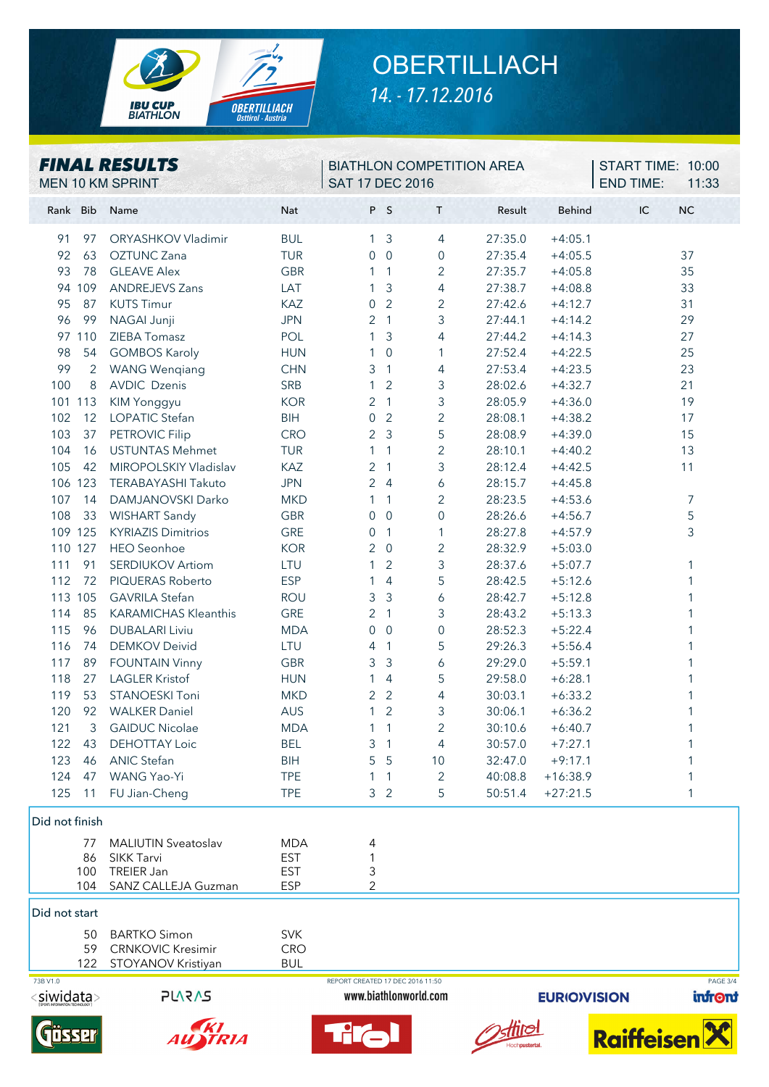

## **OBERTILLIACH** *14. - 17.12.2016*

| <b>FINAL RESULTS</b><br><b>MEN 10 KM SPRINT</b> |                |                             | <b>SAT 17 DEC 2016</b> |                                  |                | <b>BIATHLON COMPETITION AREA</b> | START TIME: 10:00<br><b>END TIME:</b><br>11:33 |                    |                            |
|-------------------------------------------------|----------------|-----------------------------|------------------------|----------------------------------|----------------|----------------------------------|------------------------------------------------|--------------------|----------------------------|
| Rank Bib                                        |                | Name                        | Nat                    |                                  | P S            | T.                               | Result                                         | <b>Behind</b>      | NC<br>IC                   |
| 91                                              | 97             | ORYASHKOV Vladimir          | <b>BUL</b>             | $\mathbf{1}$                     | $\mathbf{3}$   | 4                                | 27:35.0                                        | $+4:05.1$          |                            |
| 92                                              | 63             | OZTUNC Zana                 | <b>TUR</b>             | 0                                | $\overline{0}$ | $\mathbf 0$                      | 27:35.4                                        | $+4:05.5$          | 37                         |
| 93                                              | 78             | <b>GLEAVE Alex</b>          | <b>GBR</b>             | 1                                | $\overline{1}$ | $\overline{2}$                   | 27:35.7                                        | $+4:05.8$          | 35                         |
| 94 109                                          |                | <b>ANDREJEVS Zans</b>       | LAT                    | 1                                | $\mathfrak{Z}$ | $\overline{\mathcal{A}}$         | 27:38.7                                        | $+4:08.8$          | 33                         |
| 95                                              | 87             | <b>KUTS Timur</b>           | KAZ                    | 0                                | $\overline{2}$ | $\overline{c}$                   | 27:42.6                                        | $+4:12.7$          | 31                         |
| 96                                              | 99             | NAGAI Junji                 | <b>JPN</b>             | 2                                | $\overline{1}$ | 3                                | 27:44.1                                        | $+4:14.2$          | 29                         |
| 97 110                                          |                | ZIEBA Tomasz                | POL                    | 1                                | 3              | 4                                | 27:44.2                                        | $+4:14.3$          | 27                         |
| 98                                              | 54             | <b>GOMBOS Karoly</b>        | <b>HUN</b>             | 1                                | $\mathbf 0$    | 1                                | 27:52.4                                        | $+4:22.5$          | 25                         |
| 99                                              | $\overline{2}$ | <b>WANG Wengiang</b>        | <b>CHN</b>             | 3                                | $\mathbf{1}$   | 4                                | 27:53.4                                        | $+4:23.5$          | 23                         |
| 100                                             | 8              | <b>AVDIC Dzenis</b>         | <b>SRB</b>             | 1                                | $\overline{2}$ | 3                                | 28:02.6                                        | $+4:32.7$          | 21                         |
| 101 113                                         |                | KIM Yonggyu                 | <b>KOR</b>             | 2                                | $\sqrt{1}$     | 3                                | 28:05.9                                        | $+4:36.0$          | 19                         |
| 102                                             | 12             | LOPATIC Stefan              | <b>BIH</b>             | 0                                | $\overline{2}$ | $\overline{2}$                   | 28:08.1                                        | $+4:38.2$          | 17                         |
| 103                                             | 37             | PETROVIC Filip              | <b>CRO</b>             | 2                                | $\mathfrak{Z}$ | 5                                | 28:08.9                                        | $+4:39.0$          | 15                         |
| 104                                             | 16             | <b>USTUNTAS Mehmet</b>      | <b>TUR</b>             | 1                                | $\overline{1}$ | $\overline{c}$                   | 28:10.1                                        | $+4:40.2$          | 13                         |
| 105                                             | 42             | MIROPOLSKIY Vladislav       | KAZ                    | $\overline{c}$                   | $\overline{1}$ | 3                                | 28:12.4                                        | $+4:42.5$          | 11                         |
| 106 123                                         |                | TERABAYASHI Takuto          | <b>JPN</b>             | 2                                | $\overline{4}$ | 6                                | 28:15.7                                        | $+4:45.8$          |                            |
| 107                                             | 14             | DAMJANOVSKI Darko           | <b>MKD</b>             | 1                                | $\overline{1}$ | $\overline{2}$                   | 28:23.5                                        | $+4:53.6$          | 7                          |
| 108                                             | 33             | <b>WISHART Sandy</b>        | <b>GBR</b>             | 0                                | $\overline{0}$ | $\overline{0}$                   | 28:26.6                                        | $+4:56.7$          | 5                          |
| 109 125                                         |                | <b>KYRIAZIS Dimitrios</b>   | <b>GRE</b>             | 0                                | $\overline{1}$ | 1                                | 28:27.8                                        | $+4:57.9$          | 3                          |
| 110 127                                         |                | <b>HEO</b> Seonhoe          | <b>KOR</b>             | 2                                | $\overline{0}$ | $\overline{2}$                   | 28:32.9                                        | $+5:03.0$          |                            |
| 111                                             | 91             | <b>SERDIUKOV Artiom</b>     | LTU                    | 1                                | $\overline{2}$ | 3                                | 28:37.6                                        | $+5:07.7$          | 1                          |
| 112                                             | 72             | PIQUERAS Roberto            | <b>ESP</b>             | 1                                | $\overline{4}$ | 5                                | 28:42.5                                        | $+5:12.6$          | 1                          |
| 113 105                                         |                | <b>GAVRILA Stefan</b>       | <b>ROU</b>             | 3                                | 3              | 6                                | 28:42.7                                        | $+5:12.8$          | 1                          |
| 114                                             | 85             | <b>KARAMICHAS Kleanthis</b> | <b>GRE</b>             | $\overline{2}$                   | $\overline{1}$ | 3                                | 28:43.2                                        | $+5:13.3$          | 1                          |
| 115                                             | 96             | <b>DUBALARI Liviu</b>       | <b>MDA</b>             | 0                                | $\overline{0}$ | $\boldsymbol{0}$                 | 28:52.3                                        | $+5:22.4$          | 1                          |
| 116                                             | 74             | <b>DEMKOV Deivid</b>        | LTU                    | 4                                | $\overline{1}$ | 5                                | 29:26.3                                        | $+5:56.4$          | 1                          |
| 117                                             | 89             | <b>FOUNTAIN Vinny</b>       | <b>GBR</b>             | 3                                | $\mathfrak{Z}$ | 6                                | 29:29.0                                        | $+5:59.1$          | 1                          |
| 118                                             | 27             | <b>LAGLER Kristof</b>       | <b>HUN</b>             | 1                                | 4              | 5                                | 29:58.0                                        | $+6:28.1$          | 1                          |
| 119                                             | 53             | <b>STANOESKI Toni</b>       | <b>MKD</b>             | 2                                | 2              | 4                                | 30:03.1                                        | $+6:33.2$          | 1                          |
| 120                                             |                | 92 WALKER Daniel            | <b>AUS</b>             | 1                                | $\overline{2}$ | 3                                | 30:06.1                                        | $+6:36.2$          | 1                          |
| 121                                             |                | 3 GAIDUC Nicolae            | <b>MDA</b>             | $\mathbf{1}$                     | $\mathbf{1}$   | $\overline{c}$                   | 30:10.6                                        | $+6:40.7$          | 1                          |
| 122                                             | 43             | <b>DEHOTTAY Loic</b>        | <b>BEL</b>             | 3                                | -1             | 4                                | 30:57.0                                        | $+7:27.1$          |                            |
| 123                                             | 46             | <b>ANIC Stefan</b>          | <b>BIH</b>             | 5                                | 5              | 10                               | 32:47.0                                        | $+9:17.1$          |                            |
| 124                                             | 47             | WANG Yao-Yi                 | <b>TPE</b>             |                                  | $\mathbf{1}$   | 2                                | 40:08.8                                        | $+16:38.9$         | 1                          |
| 125                                             | 11             | FU Jian-Cheng               | <b>TPE</b>             |                                  | 3 <sup>2</sup> | 5                                | 50:51.4                                        | $+27:21.5$         | 1                          |
| Did not finish                                  |                |                             |                        |                                  |                |                                  |                                                |                    |                            |
|                                                 | 77             | <b>MALIUTIN Sveatoslav</b>  | <b>MDA</b>             | 4                                |                |                                  |                                                |                    |                            |
|                                                 | 86             | SIKK Tarvi                  | <b>EST</b>             |                                  |                |                                  |                                                |                    |                            |
|                                                 | 100            | TREIER Jan                  | <b>EST</b>             | 3                                |                |                                  |                                                |                    |                            |
|                                                 | 104            | SANZ CALLEJA Guzman         | <b>ESP</b>             | 2                                |                |                                  |                                                |                    |                            |
| Did not start                                   |                |                             |                        |                                  |                |                                  |                                                |                    |                            |
|                                                 | 50             | <b>BARTKO Simon</b>         | <b>SVK</b>             |                                  |                |                                  |                                                |                    |                            |
|                                                 | 59             | <b>CRNKOVIC Kresimir</b>    | <b>CRO</b>             |                                  |                |                                  |                                                |                    |                            |
|                                                 | 122            | STOYANOV Kristiyan          | <b>BUL</b>             |                                  |                |                                  |                                                |                    |                            |
| 73B V1.0<br><siwidata></siwidata>               |                | <b>PLARAS</b>               |                        | REPORT CREATED 17 DEC 2016 11:50 |                | www.biathlonworld.com            |                                                | <b>EURIOVISION</b> | PAGE 3/4<br><b>infront</b> |
|                                                 | <b>Ser</b>     | <b>AU TRIA</b>              |                        | Tiál                             |                |                                  | $\pmb{\mathcal{H}}$ ir $\varphi$ l             |                    | <b>Raiffeisen</b>          |